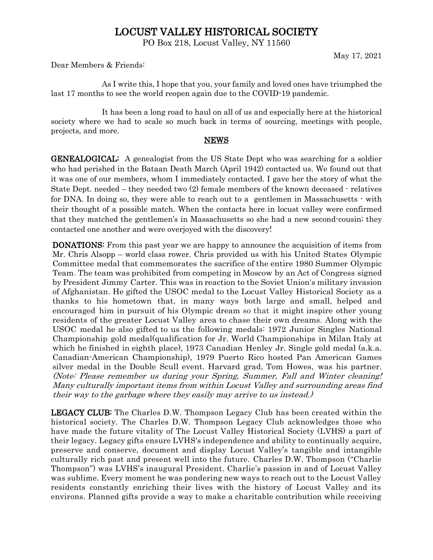## LOCUST VALLEY HISTORICAL SOCIETY

PO Box 218, Locust Valley, NY 11560

May 17, 2021

Dear Members & Friends:

As I write this, I hope that you, your family and loved ones have triumphed the last 17 months to see the world reopen again due to the COVID-19 pandemic.

It has been a long road to haul on all of us and especially here at the historical society where we had to scale so much back in terms of sourcing, meetings with people, projects, and more.

## **NEWS**

GENEALOGICAL: A genealogist from the US State Dept who was searching for a soldier who had perished in the Bataan Death March (April 1942) contacted us. We found out that it was one of our members, whom I immediately contacted. I gave her the story of what the State Dept. needed – they needed two (2) female members of the known deceased - relatives for DNA. In doing so, they were able to reach out to a gentlemen in Massachusetts - with their thought of a possible match. When the contacts here in locust valley were confirmed that they matched the gentlemen's in Massachusetts so she had a new second-cousin; they contacted one another and were overjoyed with the discovery!

DONATIONS: From this past year we are happy to announce the acquisition of items from Mr. Chris Alsopp – world class rower. Chris provided us with his United States Olympic Committee medal that commemorates the sacrifice of the entire 1980 Summer Olympic Team. The team was prohibited from competing in Moscow by an Act of Congress signed by President Jimmy Carter. This was in reaction to the Soviet Union's military invasion of Afghanistan. He gifted the USOC medal to the Locust Valley Historical Society as a thanks to his hometown that, in many ways both large and small, helped and encouraged him in pursuit of his Olympic dream so that it might inspire other young residents of the greater Locust Valley area to chase their own dreams. Along with the USOC medal he also gifted to us the following medals: 1972 Junior Singles National Championship gold medal(qualification for Jr. World Championships in Milan Italy at which he finished in eighth place), 1973 Canadian Henley Jr. Single gold medal (a.k.a. Canadian-American Championship), 1979 Puerto Rico hosted Pan American Games silver medal in the Double Scull event. Harvard grad, Tom Howes, was his partner. (Note: Please remember us during your Spring, Summer, Fall and Winter cleaning! Many culturally important items from within Locust Valley and surrounding areas find their way to the garbage where they easily may arrive to us instead.)

LEGACY CLUB: The Charles D.W. Thompson Legacy Club has been created within the historical society. The Charles D.W. Thompson Legacy Club acknowledges those who have made the future vitality of The Locust Valley Historical Society (LVHS) a part of their legacy. Legacy gifts ensure LVHS's independence and ability to continually acquire, preserve and conserve, document and display Locust Valley's tangible and intangible culturally rich past and present well into the future. Charles D.W. Thompson ("Charlie Thompson") was LVHS's inaugural President. Charlie's passion in and of Locust Valley was sublime. Every moment he was pondering new ways to reach out to the Locust Valley residents constantly enriching their lives with the history of Locust Valley and its environs. Planned gifts provide a way to make a charitable contribution while receiving